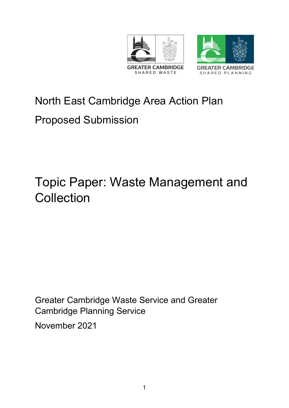



# North East Cambridge Area Action Plan Proposed Submission

# Topic Paper: Waste Management and Collection

Greater Cambridge Waste Service and Greater Cambridge Planning Service

November 2021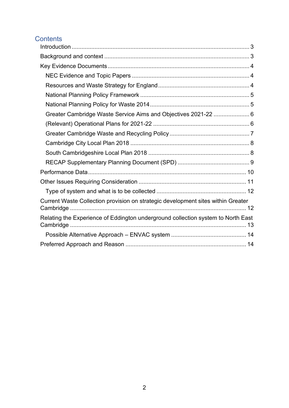# **Contents**

| Greater Cambridge Waste Service Aims and Objectives 2021-22  6                   |
|----------------------------------------------------------------------------------|
|                                                                                  |
|                                                                                  |
|                                                                                  |
|                                                                                  |
|                                                                                  |
|                                                                                  |
|                                                                                  |
|                                                                                  |
| Current Waste Collection provision on strategic development sites within Greater |
| Relating the Experience of Eddington underground collection system to North East |
|                                                                                  |
|                                                                                  |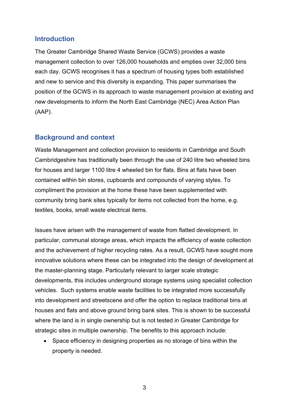# <span id="page-2-0"></span>**Introduction**

The Greater Cambridge Shared Waste Service (GCWS) provides a waste management collection to over 126,000 households and empties over 32,000 bins each day. GCWS recognises it has a spectrum of housing types both established and new to service and this diversity is expanding. This paper summarises the position of the GCWS in its approach to waste management provision at existing and new developments to inform the North East Cambridge (NEC) Area Action Plan (AAP).

# <span id="page-2-1"></span>**Background and context**

Waste Management and collection provision to residents in Cambridge and South Cambridgeshire has traditionally been through the use of 240 litre two wheeled bins for houses and larger 1100 litre 4 wheeled bin for flats. Bins at flats have been contained within bin stores, cupboards and compounds of varying styles. To compliment the provision at the home these have been supplemented with community bring bank sites typically for items not collected from the home, e.g. textiles, books, small waste electrical items.

Issues have arisen with the management of waste from flatted development. In particular, communal storage areas, which impacts the efficiency of waste collection and the achievement of higher recycling rates. As a result, GCWS have sought more innovative solutions where these can be integrated into the design of development at the master-planning stage. Particularly relevant to larger scale strategic developments, this includes underground storage systems using specialist collection vehicles. Such systems enable waste facilities to be integrated more successfully into development and streetscene and offer the option to replace traditional bins at houses and flats and above ground bring bank sites. This is shown to be successful where the land is in single ownership but is not tested in Greater Cambridge for strategic sites in multiple ownership. The benefits to this approach include:

• Space efficiency in designing properties as no storage of bins within the property is needed.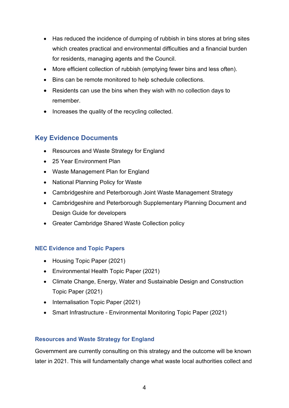- Has reduced the incidence of dumping of rubbish in bins stores at bring sites which creates practical and environmental difficulties and a financial burden for residents, managing agents and the Council.
- More efficient collection of rubbish (emptying fewer bins and less often).
- Bins can be remote monitored to help schedule collections.
- Residents can use the bins when they wish with no collection days to remember.
- Increases the quality of the recycling collected.

# <span id="page-3-0"></span>**Key Evidence Documents**

- Resources and Waste Strategy for England
- 25 Year Environment Plan
- Waste Management Plan for England
- National Planning Policy for Waste
- Cambridgeshire and Peterborough Joint Waste Management Strategy
- Cambridgeshire and Peterborough Supplementary Planning Document and Design Guide for developers
- Greater Cambridge Shared Waste Collection policy

## <span id="page-3-1"></span>**NEC Evidence and Topic Papers**

- Housing Topic Paper (2021)
- Environmental Health Topic Paper (2021)
- Climate Change, Energy, Water and Sustainable Design and Construction Topic Paper (2021)
- Internalisation Topic Paper (2021)
- Smart Infrastructure Environmental Monitoring Topic Paper (2021)

## <span id="page-3-2"></span>**Resources and Waste Strategy for England**

Government are currently consulting on this strategy and the outcome will be known later in 2021. This will fundamentally change what waste local authorities collect and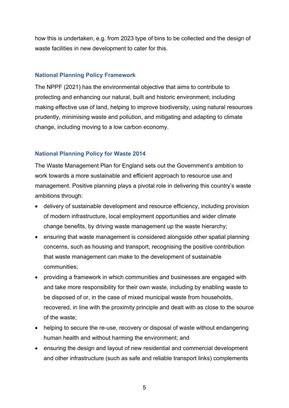how this is undertaken, e.g. from 2023 type of bins to be collected and the design of waste facilities in new development to cater for this.

#### <span id="page-4-0"></span>**National Planning Policy Framework**

The NPPF (2021) has the environmental objective that aims to contribute to protecting and enhancing our natural, built and historic environment; including making effective use of land, helping to improve biodiversity, using natural resources prudently, minimising waste and pollution, and mitigating and adapting to climate change, including moving to a low carbon economy.

#### <span id="page-4-1"></span>**National Planning Policy for Waste 2014**

The Waste Management Plan for England sets out the Government's ambition to work towards a more sustainable and efficient approach to resource use and management. Positive planning plays a pivotal role in delivering this country's waste ambitions through:

- delivery of sustainable development and resource efficiency, including provision of modern infrastructure, local employment opportunities and wider climate change benefits, by driving waste management up the waste hierarchy;
- ensuring that waste management is considered alongside other spatial planning concerns, such as housing and transport, recognising the positive contribution that waste management can make to the development of sustainable communities;
- providing a framework in which communities and businesses are engaged with and take more responsibility for their own waste, including by enabling waste to be disposed of or, in the case of mixed municipal waste from households, recovered, in line with the proximity principle and dealt with as close to the source of the waste;
- helping to secure the re-use, recovery or disposal of waste without endangering human health and without harming the environment; and
- ensuring the design and layout of new residential and commercial development and other infrastructure (such as safe and reliable transport links) complements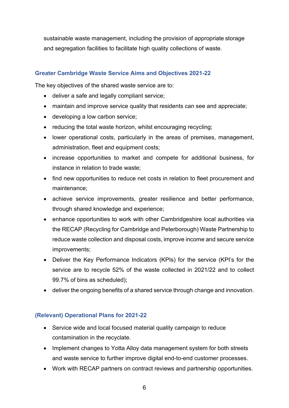sustainable waste management, including the provision of appropriate storage and segregation facilities to facilitate high quality collections of waste.

# <span id="page-5-0"></span>**Greater Cambridge Waste Service Aims and Objectives 2021-22**

The key objectives of the shared waste service are to:

- deliver a safe and legally compliant service;
- maintain and improve service quality that residents can see and appreciate;
- developing a low carbon service;
- reducing the total waste horizon, whilst encouraging recycling;
- lower operational costs, particularly in the areas of premises, management, administration, fleet and equipment costs;
- increase opportunities to market and compete for additional business, for instance in relation to trade waste;
- find new opportunities to reduce net costs in relation to fleet procurement and maintenance;
- achieve service improvements, greater resilience and better performance, through shared knowledge and experience;
- enhance opportunities to work with other Cambridgeshire local authorities via the RECAP (Recycling for Cambridge and Peterborough) Waste Partnership to reduce waste collection and disposal costs, improve income and secure service improvements;
- Deliver the Key Performance Indicators (KPIs) for the service (KPI's for the service are to recycle 52% of the waste collected in 2021/22 and to collect 99.7% of bins as scheduled);
- deliver the ongoing benefits of a shared service through change and innovation.

## <span id="page-5-1"></span>**(Relevant) Operational Plans for 2021-22**

- Service wide and local focused material quality campaign to reduce contamination in the recyclate.
- Implement changes to Yotta Alloy data management system for both streets and waste service to further improve digital end-to-end customer processes.
- Work with RECAP partners on contract reviews and partnership opportunities.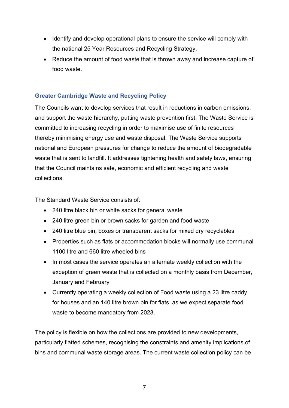- Identify and develop operational plans to ensure the service will comply with the national 25 Year Resources and Recycling Strategy.
- Reduce the amount of food waste that is thrown away and increase capture of food waste.

# <span id="page-6-0"></span>**Greater Cambridge Waste and Recycling Policy**

The Councils want to develop services that result in reductions in carbon emissions, and support the waste hierarchy, putting waste prevention first. The Waste Service is committed to increasing recycling in order to maximise use of finite resources thereby minimising energy use and waste disposal. The Waste Service supports national and European pressures for change to reduce the amount of biodegradable waste that is sent to landfill. It addresses tightening health and safety laws, ensuring that the Council maintains safe, economic and efficient recycling and waste collections.

The Standard Waste Service consists of:

- 240 litre black bin or white sacks for general waste
- 240 litre green bin or brown sacks for garden and food waste
- 240 litre blue bin, boxes or transparent sacks for mixed dry recyclables
- Properties such as flats or accommodation blocks will normally use communal 1100 litre and 660 litre wheeled bins
- In most cases the service operates an alternate weekly collection with the exception of green waste that is collected on a monthly basis from December, January and February
- Currently operating a weekly collection of Food waste using a 23 litre caddy for houses and an 140 litre brown bin for flats, as we expect separate food waste to become mandatory from 2023.

The policy is flexible on how the collections are provided to new developments, particularly flatted schemes, recognising the constraints and amenity implications of bins and communal waste storage areas. The current waste collection policy can be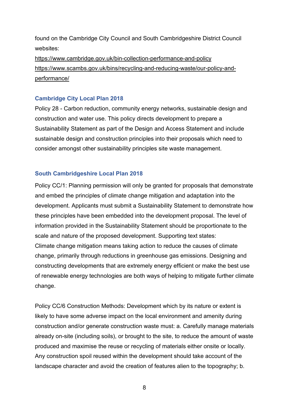found on the Cambridge City Council and South Cambridgeshire District Council websites:

<https://www.cambridge.gov.uk/bin-collection-performance-and-policy> [https://www.scambs.gov.uk/bins/recycling-and-reducing-waste/our-policy-and](https://www.scambs.gov.uk/bins/recycling-and-reducing-waste/our-policy-and-performance/)[performance/](https://www.scambs.gov.uk/bins/recycling-and-reducing-waste/our-policy-and-performance/)

#### <span id="page-7-0"></span>**Cambridge City Local Plan 2018**

Policy 28 - Carbon reduction, community energy networks, sustainable design and construction and water use. This policy directs development to prepare a Sustainability Statement as part of the Design and Access Statement and include sustainable design and construction principles into their proposals which need to consider amongst other sustainability principles site waste management.

#### <span id="page-7-1"></span>**South Cambridgeshire Local Plan 2018**

Policy CC/1: Planning permission will only be granted for proposals that demonstrate and embed the principles of climate change mitigation and adaptation into the development. Applicants must submit a Sustainability Statement to demonstrate how these principles have been embedded into the development proposal. The level of information provided in the Sustainability Statement should be proportionate to the scale and nature of the proposed development. Supporting text states: Climate change mitigation means taking action to reduce the causes of climate change, primarily through reductions in greenhouse gas emissions. Designing and constructing developments that are extremely energy efficient or make the best use of renewable energy technologies are both ways of helping to mitigate further climate change.

Policy CC/6 Construction Methods: Development which by its nature or extent is likely to have some adverse impact on the local environment and amenity during construction and/or generate construction waste must: a. Carefully manage materials already on-site (including soils), or brought to the site, to reduce the amount of waste produced and maximise the reuse or recycling of materials either onsite or locally. Any construction spoil reused within the development should take account of the landscape character and avoid the creation of features alien to the topography; b.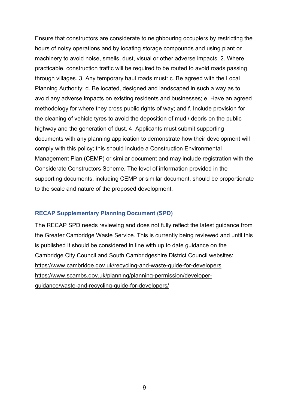Ensure that constructors are considerate to neighbouring occupiers by restricting the hours of noisy operations and by locating storage compounds and using plant or machinery to avoid noise, smells, dust, visual or other adverse impacts. 2. Where practicable, construction traffic will be required to be routed to avoid roads passing through villages. 3. Any temporary haul roads must: c. Be agreed with the Local Planning Authority; d. Be located, designed and landscaped in such a way as to avoid any adverse impacts on existing residents and businesses; e. Have an agreed methodology for where they cross public rights of way; and f. Include provision for the cleaning of vehicle tyres to avoid the deposition of mud / debris on the public highway and the generation of dust. 4. Applicants must submit supporting documents with any planning application to demonstrate how their development will comply with this policy; this should include a Construction Environmental Management Plan (CEMP) or similar document and may include registration with the Considerate Constructors Scheme. The level of information provided in the supporting documents, including CEMP or similar document, should be proportionate to the scale and nature of the proposed development.

#### <span id="page-8-0"></span>**RECAP Supplementary Planning Document (SPD)**

The RECAP SPD needs reviewing and does not fully reflect the latest guidance from the Greater Cambridge Waste Service. This is currently being reviewed and until this is published it should be considered in line with up to date guidance on the Cambridge City Council and South Cambridgeshire District Council websites: <https://www.cambridge.gov.uk/recycling-and-waste-guide-for-developers> [https://www.scambs.gov.uk/planning/planning-permission/developer](https://www.scambs.gov.uk/planning/planning-permission/developer-guidance/waste-and-recycling-guide-for-developers/)[guidance/waste-and-recycling-guide-for-developers/](https://www.scambs.gov.uk/planning/planning-permission/developer-guidance/waste-and-recycling-guide-for-developers/)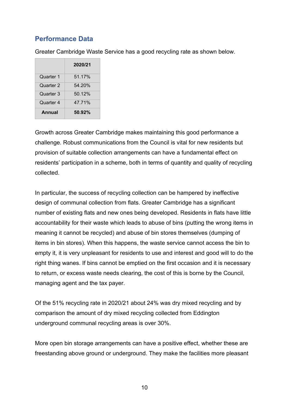# <span id="page-9-0"></span>**Performance Data**

Greater Cambridge Waste Service has a good recycling rate as shown below.

|           | 2020/21 |
|-----------|---------|
| Quarter 1 | 51.17%  |
| Quarter 2 | 54.20%  |
| Quarter 3 | 50.12%  |
| Quarter 4 | 47.71%  |
| Annual    | 50.92%  |

Growth across Greater Cambridge makes maintaining this good performance a challenge. Robust communications from the Council is vital for new residents but provision of suitable collection arrangements can have a fundamental effect on residents' participation in a scheme, both in terms of quantity and quality of recycling collected.

In particular, the success of recycling collection can be hampered by ineffective design of communal collection from flats. Greater Cambridge has a significant number of existing flats and new ones being developed. Residents in flats have little accountability for their waste which leads to abuse of bins (putting the wrong items in meaning it cannot be recycled) and abuse of bin stores themselves (dumping of items in bin stores). When this happens, the waste service cannot access the bin to empty it, it is very unpleasant for residents to use and interest and good will to do the right thing wanes. If bins cannot be emptied on the first occasion and it is necessary to return, or excess waste needs clearing, the cost of this is borne by the Council, managing agent and the tax payer.

Of the 51% recycling rate in 2020/21 about 24% was dry mixed recycling and by comparison the amount of dry mixed recycling collected from Eddington underground communal recycling areas is over 30%.

More open bin storage arrangements can have a positive effect, whether these are freestanding above ground or underground. They make the facilities more pleasant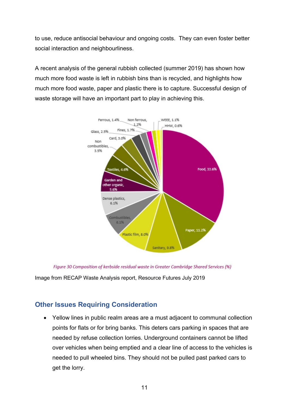to use, reduce antisocial behaviour and ongoing costs. They can even foster better social interaction and neighbourliness.

A recent analysis of the general rubbish collected (summer 2019) has shown how much more food waste is left in rubbish bins than is recycled, and highlights how much more food waste, paper and plastic there is to capture. Successful design of waste storage will have an important part to play in achieving this.



Figure 30 Composition of kerbside residual waste in Greater Cambridge Shared Services (%)

Image from RECAP Waste Analysis report, Resource Futures July 2019

# <span id="page-10-0"></span>**Other Issues Requiring Consideration**

• Yellow lines in public realm areas are a must adjacent to communal collection points for flats or for bring banks. This deters cars parking in spaces that are needed by refuse collection lorries. Underground containers cannot be lifted over vehicles when being emptied and a clear line of access to the vehicles is needed to pull wheeled bins. They should not be pulled past parked cars to get the lorry.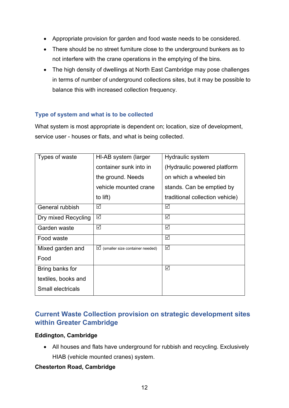- Appropriate provision for garden and food waste needs to be considered.
- There should be no street furniture close to the underground bunkers as to not interfere with the crane operations in the emptying of the bins.
- The high density of dwellings at North East Cambridge may pose challenges in terms of number of underground collections sites, but it may be possible to balance this with increased collection frequency.

# <span id="page-11-0"></span>**Type of system and what is to be collected**

What system is most appropriate is dependent on; location, size of development, service user - houses or flats, and what is being collected.

| Types of waste           | HI-AB system (larger                   | <b>Hydraulic system</b>         |
|--------------------------|----------------------------------------|---------------------------------|
|                          | container sunk into in                 | (Hydraulic powered platform     |
|                          | the ground. Needs                      | on which a wheeled bin          |
|                          | vehicle mounted crane                  | stands. Can be emptied by       |
|                          | to lift)                               | traditional collection vehicle) |
| General rubbish          | ☑                                      | ⊠                               |
| Dry mixed Recycling      | $\blacktriangledown$                   | ☑                               |
| Garden waste             | ☑                                      | ☑                               |
| Food waste               |                                        | ☑                               |
| Mixed garden and         | $\vee$ (smaller size container needed) | $\triangledown$                 |
| Food                     |                                        |                                 |
| Bring banks for          |                                        | ⊠                               |
| textiles, books and      |                                        |                                 |
| <b>Small electricals</b> |                                        |                                 |

# <span id="page-11-1"></span>**Current Waste Collection provision on strategic development sites within Greater Cambridge**

## **Eddington, Cambridge**

• All houses and flats have underground for rubbish and recycling. Exclusively HIAB (vehicle mounted cranes) system.

#### **Chesterton Road, Cambridge**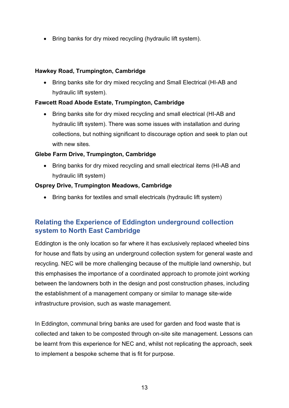• Bring banks for dry mixed recycling (hydraulic lift system).

## **Hawkey Road, Trumpington, Cambridge**

• Bring banks site for dry mixed recycling and Small Electrical (HI-AB and hydraulic lift system).

# **Fawcett Road Abode Estate, Trumpington, Cambridge**

• Bring banks site for dry mixed recycling and small electrical (HI-AB and hydraulic lift system). There was some issues with installation and during collections, but nothing significant to discourage option and seek to plan out with new sites.

# **Glebe Farm Drive, Trumpington, Cambridge**

• Bring banks for dry mixed recycling and small electrical items (HI-AB and hydraulic lift system)

# **Osprey Drive, Trumpington Meadows, Cambridge**

• Bring banks for textiles and small electricals (hydraulic lift system)

# <span id="page-12-0"></span>**Relating the Experience of Eddington underground collection system to North East Cambridge**

Eddington is the only location so far where it has exclusively replaced wheeled bins for house and flats by using an underground collection system for general waste and recycling. NEC will be more challenging because of the multiple land ownership, but this emphasises the importance of a coordinated approach to promote joint working between the landowners both in the design and post construction phases, including the establishment of a management company or similar to manage site-wide infrastructure provision, such as waste management.

In Eddington, communal bring banks are used for garden and food waste that is collected and taken to be composted through on-site site management. Lessons can be learnt from this experience for NEC and, whilst not replicating the approach, seek to implement a bespoke scheme that is fit for purpose.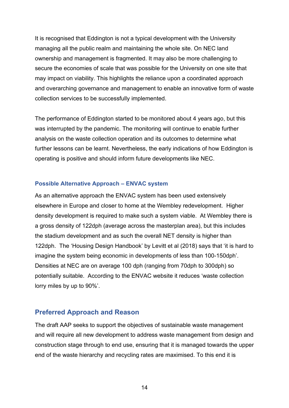It is recognised that Eddington is not a typical development with the University managing all the public realm and maintaining the whole site. On NEC land ownership and management is fragmented. It may also be more challenging to secure the economies of scale that was possible for the University on one site that may impact on viability. This highlights the reliance upon a coordinated approach and overarching governance and management to enable an innovative form of waste collection services to be successfully implemented.

The performance of Eddington started to be monitored about 4 years ago, but this was interrupted by the pandemic. The monitoring will continue to enable further analysis on the waste collection operation and its outcomes to determine what further lessons can be learnt. Nevertheless, the early indications of how Eddington is operating is positive and should inform future developments like NEC.

#### <span id="page-13-0"></span>**Possible Alternative Approach – ENVAC system**

As an alternative approach the ENVAC system has been used extensively elsewhere in Europe and closer to home at the Wembley redevelopment. Higher density development is required to make such a system viable. At Wembley there is a gross density of 122dph (average across the masterplan area), but this includes the stadium development and as such the overall NET density is higher than 122dph. The 'Housing Design Handbook' by Levitt et al (2018) says that 'it is hard to imagine the system being economic in developments of less than 100-150dph'. Densities at NEC are on average 100 dph (ranging from 70dph to 300dph) so potentially suitable. According to the ENVAC website it reduces 'waste collection lorry miles by up to 90%'.

## <span id="page-13-1"></span>**Preferred Approach and Reason**

The draft AAP seeks to support the objectives of sustainable waste management and will require all new development to address waste management from design and construction stage through to end use, ensuring that it is managed towards the upper end of the waste hierarchy and recycling rates are maximised. To this end it is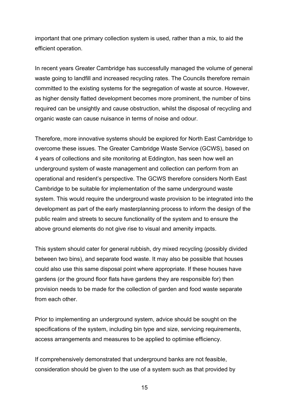important that one primary collection system is used, rather than a mix, to aid the efficient operation.

In recent years Greater Cambridge has successfully managed the volume of general waste going to landfill and increased recycling rates. The Councils therefore remain committed to the existing systems for the segregation of waste at source. However, as higher density flatted development becomes more prominent, the number of bins required can be unsightly and cause obstruction, whilst the disposal of recycling and organic waste can cause nuisance in terms of noise and odour.

Therefore, more innovative systems should be explored for North East Cambridge to overcome these issues. The Greater Cambridge Waste Service (GCWS), based on 4 years of collections and site monitoring at Eddington, has seen how well an underground system of waste management and collection can perform from an operational and resident's perspective. The GCWS therefore considers North East Cambridge to be suitable for implementation of the same underground waste system. This would require the underground waste provision to be integrated into the development as part of the early masterplanning process to inform the design of the public realm and streets to secure functionality of the system and to ensure the above ground elements do not give rise to visual and amenity impacts.

This system should cater for general rubbish, dry mixed recycling (possibly divided between two bins), and separate food waste. It may also be possible that houses could also use this same disposal point where appropriate. If these houses have gardens (or the ground floor flats have gardens they are responsible for) then provision needs to be made for the collection of garden and food waste separate from each other.

Prior to implementing an underground system, advice should be sought on the specifications of the system, including bin type and size, servicing requirements, access arrangements and measures to be applied to optimise efficiency.

If comprehensively demonstrated that underground banks are not feasible, consideration should be given to the use of a system such as that provided by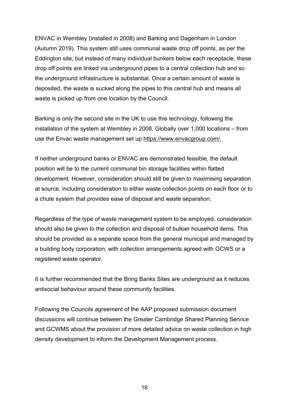ENVAC in Wembley (installed in 2008) and Barking and Dagenham in London (Autumn 2019). This system still uses communal waste drop off points, as per the Eddington site, but instead of many individual bunkers below each receptacle, these drop off points are linked via underground pipes to a central collection hub and so the underground infrastructure is substantial. Once a certain amount of waste is deposited, the waste is sucked along the pipes to this central hub and means all waste is picked up from one location by the Council.

Barking is only the second site in the UK to use this technology, following the installation of the system at Wembley in 2008. Globally over 1,000 locations – from use the Envac waste management set up [https://www.envacgroup.com/.](https://www.envacgroup.com/)

If neither underground banks or ENVAC are demonstrated feasible, the default position will be to the current communal bin storage facilities within flatted development. However, consideration should still be given to maximising separation at source, including consideration to either waste collection points on each floor or to a chute system that provides ease of disposal and waste separation.

Regardless of the type of waste management system to be employed, consideration should also be given to the collection and disposal of bulkier household items. This should be provided as a separate space from the general municipal and managed by a building body corporation, with collection arrangements agreed with GCWS or a registered waste operator.

It is further recommended that the Bring Banks Sites are underground as it reduces antisocial behaviour around these community facilities.

Following the Councils agreement of the AAP proposed submission document discussions will continue between the Greater Cambridge Shared Planning Service and GCWMS about the provision of more detailed advice on waste collection in high density development to inform the Development Management process.